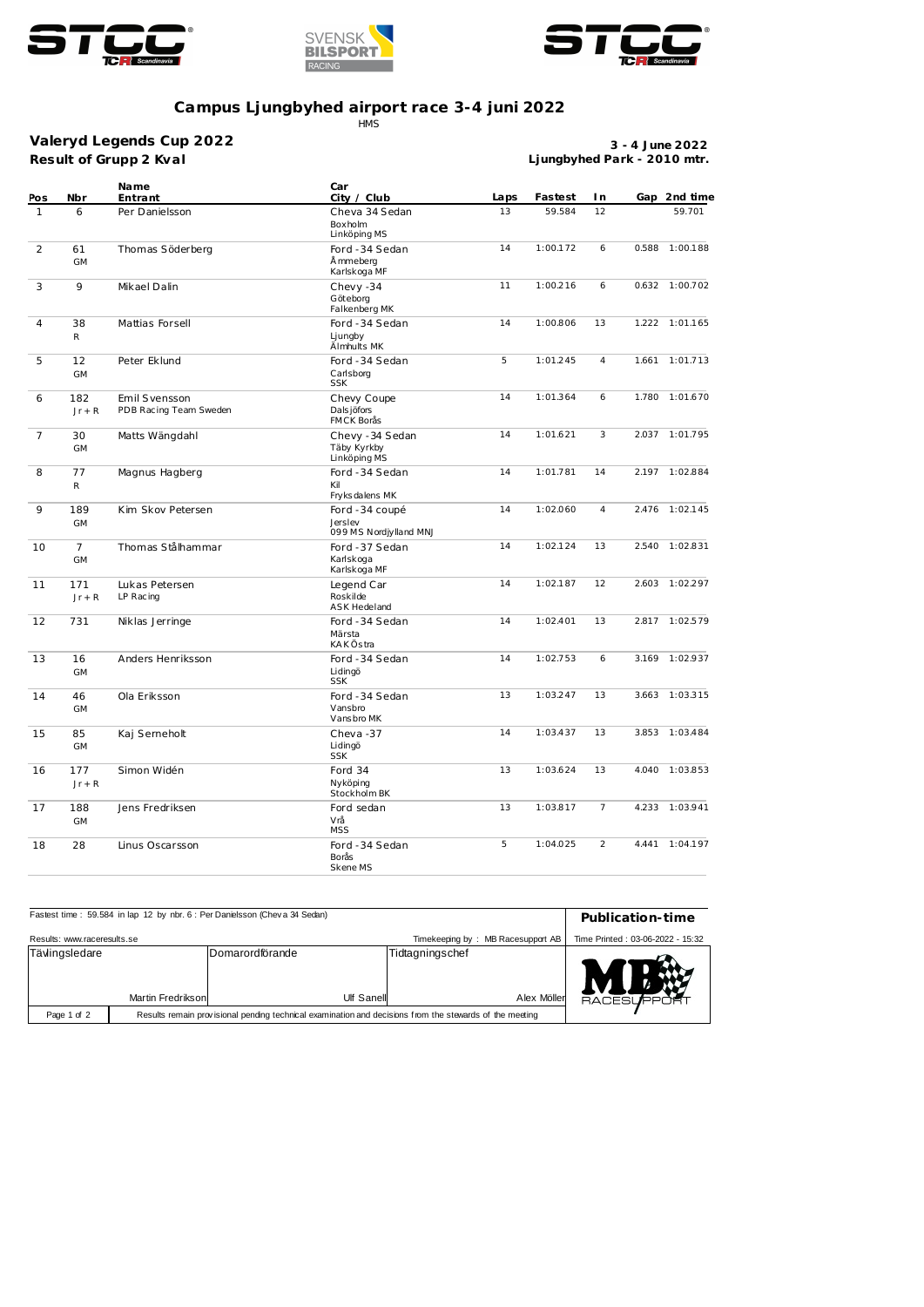





## **Campus Ljungbyhed airport race 3-4 juni 2022** HMS

**Result of Grupp 2 Kval Valeryd Legends Cup 2022**

**3 - 4 June 2022 Ljungbyhed Park - 2010 mtr.**

| Pos            | Nbr                         | Name<br>Entrant                         | Car<br>City / Club                                  | Laps | Fastest  | I n            |       | Gap 2nd time   |
|----------------|-----------------------------|-----------------------------------------|-----------------------------------------------------|------|----------|----------------|-------|----------------|
| $\mathbf{1}$   | 6                           | Per Danielsson                          | Cheva 34 Sedan<br>Boxholm<br>Linköping MS           | 13   | 59.584   | 12             |       | 59.701         |
| 2              | 61<br><b>GM</b>             | Thomas Söderberg                        | Ford -34 Sedan<br>Å mmeberg<br>Karlskoga MF         | 14   | 1:00.172 | 6              | 0.588 | 1:00.188       |
| 3              | 9                           | Mikael Dalin                            | Chevy -34<br>Göteborg<br>Falkenberg MK              | 11   | 1:00.216 | 6              | 0.632 | 1:00.702       |
| $\overline{4}$ | 38<br>R                     | Mattias Forsell                         | Ford -34 Sedan<br>Ljungby<br>Älmhults MK            | 14   | 1:00.806 | 13             | 1.222 | 1:01.165       |
| 5              | 12<br><b>GM</b>             | Peter Eklund                            | Ford -34 Sedan<br>Carlsborg<br><b>SSK</b>           | 5    | 1:01.245 | $\overline{4}$ |       | 1.661 1:01.713 |
| 6              | 182<br>$Jr + R$             | Emil Svensson<br>PDB Racing Team Sweden | Chevy Coupe<br>Dals jöfors<br><b>FMCK Borås</b>     | 14   | 1:01.364 | 6              | 1.780 | 1:01.670       |
| $\overline{7}$ | 30<br><b>GM</b>             | Matts Wängdahl                          | Chevy - 34 Sedan<br>Täby Kyrkby<br>Linköping MS     | 14   | 1:01.621 | 3              | 2.037 | 1:01.795       |
| 8              | 77<br>R                     | Magnus Hagberg                          | Ford -34 Sedan<br>Kil<br>Fryks dalens MK            | 14   | 1:01.781 | 14             |       | 2.197 1:02.884 |
| 9              | 189<br><b>GM</b>            | Kim Skov Petersen                       | Ford -34 coupé<br>Jerslev<br>099 MS Nordjylland MNJ | 14   | 1:02.060 | $\overline{4}$ | 2.476 | 1:02.145       |
| 10             | $\overline{7}$<br><b>GM</b> | Thomas Stålhammar                       | Ford -37 Sedan<br>Karlskoga<br>Karlskoga MF         | 14   | 1:02.124 | 13             | 2.540 | 1:02.831       |
| 11             | 171<br>$Jr + R$             | Lukas Petersen<br>LP Racing             | Legend Car<br>Roskilde<br><b>ASK Hedeland</b>       | 14   | 1:02.187 | 12             | 2.603 | 1:02.297       |
| 12             | 731                         | Niklas Jerringe                         | Ford -34 Sedan<br>Märsta<br><b>KAKÖstra</b>         | 14   | 1:02.401 | 13             |       | 2.817 1:02.579 |
| 13             | 16<br><b>GM</b>             | Anders Henriksson                       | Ford -34 Sedan<br>Lidingö<br><b>SSK</b>             | 14   | 1:02.753 | 6              | 3.169 | 1:02.937       |
| 14             | 46<br><b>GM</b>             | Ola Eriksson                            | Ford -34 Sedan<br>Vansbro<br>Vansbro MK             | 13   | 1:03.247 | 13             | 3.663 | 1:03.315       |
| 15             | 85<br><b>GM</b>             | Kaj Serneholt                           | Cheva-37<br>Lidingö<br><b>SSK</b>                   | 14   | 1:03.437 | 13             |       | 3.853 1:03.484 |
| 16             | 177<br>$Jr + R$             | Simon Widén                             | Ford 34<br>Nyköping<br>Stockholm BK                 | 13   | 1:03.624 | 13             |       | 4.040 1:03.853 |
| 17             | 188<br><b>GM</b>            | Jens Fredriksen                         | Ford sedan<br>Vrå<br><b>MSS</b>                     | 13   | 1:03.817 | $7^{\circ}$    |       | 4.233 1:03.941 |
| 18             | 28                          | Linus Oscarsson                         | Ford -34 Sedan<br>Borås<br>Skene MS                 | 5    | 1:04.025 | $\overline{2}$ |       | 4.441 1:04.197 |

| Fastest time: 59.584 in lap 12 by nbr. 6 : Per Danielsson (Cheva 34 Sedan) | Publication-time                                                                                        |                                |                   |  |  |  |  |
|----------------------------------------------------------------------------|---------------------------------------------------------------------------------------------------------|--------------------------------|-------------------|--|--|--|--|
| Results: www.raceresults.se                                                | Time Printed: 03-06-2022 - 15:32                                                                        |                                |                   |  |  |  |  |
| Tävlingsledare<br>Martin Fredrikson                                        | Domarordförande<br>Ulf Sanell                                                                           | Tidtagningschef<br>Alex Möller | <b>RACESUPPOR</b> |  |  |  |  |
| Page 1 of 2                                                                | Results remain provisional pending technical examination and decisions from the stewards of the meeting |                                |                   |  |  |  |  |